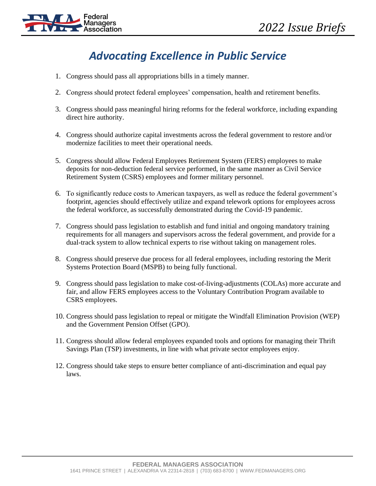

# *Advocating Excellence in Public Service*

- 1. Congress should pass all appropriations bills in a timely manner.
- 2. Congress should protect federal employees' compensation, health and retirement benefits.
- 3. Congress should pass meaningful hiring reforms for the federal workforce, including expanding direct hire authority.
- 4. Congress should authorize capital investments across the federal government to restore and/or modernize facilities to meet their operational needs.
- 5. Congress should allow Federal Employees Retirement System (FERS) employees to make deposits for non-deduction federal service performed, in the same manner as Civil Service Retirement System (CSRS) employees and former military personnel.
- 6. To significantly reduce costs to American taxpayers, as well as reduce the federal government's footprint, agencies should effectively utilize and expand telework options for employees across the federal workforce, as successfully demonstrated during the Covid-19 pandemic.
- 7. Congress should pass legislation to establish and fund initial and ongoing mandatory training requirements for all managers and supervisors across the federal government, and provide for a dual-track system to allow technical experts to rise without taking on management roles.
- 8. Congress should preserve due process for all federal employees, including restoring the Merit Systems Protection Board (MSPB) to being fully functional.
- 9. Congress should pass legislation to make cost-of-living-adjustments (COLAs) more accurate and fair, and allow FERS employees access to the Voluntary Contribution Program available to CSRS employees.
- 10. Congress should pass legislation to repeal or mitigate the Windfall Elimination Provision (WEP) and the Government Pension Offset (GPO).
- 11. Congress should allow federal employees expanded tools and options for managing their Thrift Savings Plan (TSP) investments, in line with what private sector employees enjoy.
- 12. Congress should take steps to ensure better compliance of anti-discrimination and equal pay laws.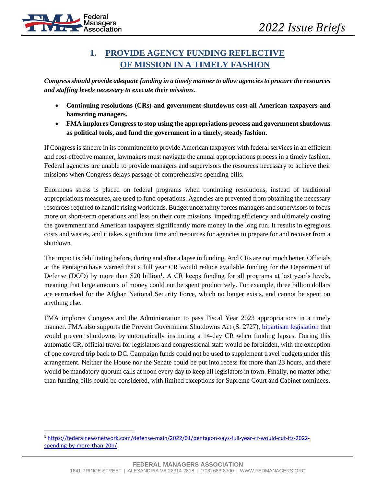

### **1. PROVIDE AGENCY FUNDING REFLECTIVE OF MISSION IN A TIMELY FASHION**

*Congress should provide adequate funding in a timely manner to allow agencies to procure the resources and staffing levels necessary to execute their missions.*

- **Continuing resolutions (CRs) and government shutdowns cost all American taxpayers and hamstring managers.**
- **FMA implores Congress to stop using the appropriations process and government shutdowns as political tools, and fund the government in a timely, steady fashion.**

If Congress is sincere in its commitment to provide American taxpayers with federal services in an efficient and cost-effective manner, lawmakers must navigate the annual appropriations process in a timely fashion. Federal agencies are unable to provide managers and supervisors the resources necessary to achieve their missions when Congress delays passage of comprehensive spending bills.

Enormous stress is placed on federal programs when continuing resolutions, instead of traditional appropriations measures, are used to fund operations. Agencies are prevented from obtaining the necessary resources required to handle rising workloads. Budget uncertainty forces managers and supervisors to focus more on short-term operations and less on their core missions, impeding efficiency and ultimately costing the government and American taxpayers significantly more money in the long run. It results in egregious costs and wastes, and it takes significant time and resources for agencies to prepare for and recover from a shutdown.

The impact is debilitating before, during and after a lapse in funding. And CRs are not much better. Officials at the Pentagon [have warned](https://federalnewsnetwork.com/defense-main/2022/01/pentagon-says-full-year-cr-would-cut-its-2022-spending-by-more-than-20b/) that a full year CR would reduce available funding for the Department of Defense (DOD) by more than \$20 billion<sup>1</sup>. A CR keeps funding for all programs at last year's levels, meaning that large amounts of money could not be spent productively. For example, three billion dollars are earmarked for the Afghan National Security Force, which no longer exists, and cannot be spent on anything else.

FMA implores Congress and the Administration to pass Fiscal Year 2023 appropriations in a timely manner. FMA also supports the Prevent Government Shutdowns Act (S. 2727), [bipartisan legislation](https://www.congress.gov/bill/117th-congress/senate-bill/2727?q=%7B%22search%22%3A%5B%22s.+2727%22%2C%22s.%22%2C%222727%22%5D%7D&s=1&r=1) that would prevent shutdowns by automatically instituting a 14-day CR when funding lapses. During this automatic CR, official travel for legislators and congressional staff would be forbidden, with the exception of one covered trip back to DC. Campaign funds could not be used to supplement travel budgets under this arrangement. Neither the House nor the Senate could be put into recess for more than 23 hours, and there would be mandatory quorum calls at noon every day to keep all legislators in town. Finally, no matter other than funding bills could be considered, with limited exceptions for Supreme Court and Cabinet nominees.

<sup>1</sup> [https://federalnewsnetwork.com/defense-main/2022/01/pentagon-says-full-year-cr-would-cut-its-2022](https://federalnewsnetwork.com/defense-main/2022/01/pentagon-says-full-year-cr-would-cut-its-2022-spending-by-more-than-20b/) [spending-by-more-than-20b/](https://federalnewsnetwork.com/defense-main/2022/01/pentagon-says-full-year-cr-would-cut-its-2022-spending-by-more-than-20b/)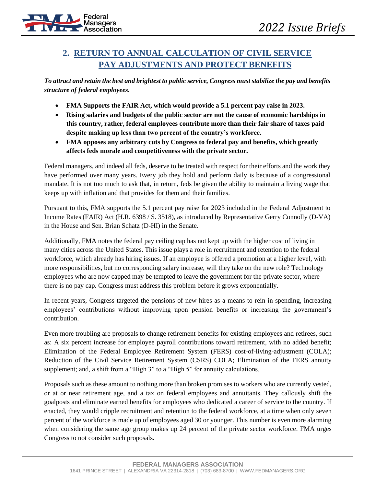

# **2. RETURN TO ANNUAL CALCULATION OF CIVIL SERVICE PAY ADJUSTMENTS AND PROTECT BENEFITS**

*To attract and retain the best and brightest to public service, Congress must stabilize the pay and benefits structure of federal employees.*

- **FMA Supports the FAIR Act, which would provide a 5.1 percent pay raise in 2023.**
- **Rising salaries and budgets of the public sector are not the cause of economic hardships in this country, rather, federal employees contribute more than their fair share of taxes paid despite making up less than two percent of the country's workforce.**
- **FMA opposes any arbitrary cuts by Congress to federal pay and benefits, which greatly affects feds morale and competitiveness with the private sector.**

Federal managers, and indeed all feds, deserve to be treated with respect for their efforts and the work they have performed over many years. Every job they hold and perform daily is because of a congressional mandate. It is not too much to ask that, in return, feds be given the ability to maintain a living wage that keeps up with inflation and that provides for them and their families.

Pursuant to this, FMA supports the 5.1 percent pay raise for 2023 included in the Federal Adjustment to Income Rates (FAIR) Act (H.R. 6398 / S. 3518), as introduced by Representative Gerry Connolly (D-VA) in the House and Sen. Brian Schatz (D-HI) in the Senate.

Additionally, FMA notes the federal pay ceiling cap has not kept up with the higher cost of living in many cities across the United States. This issue plays a role in recruitment and retention to the federal workforce, which already has hiring issues. If an employee is offered a promotion at a higher level, with more responsibilities, but no corresponding salary increase, will they take on the new role? Technology employees who are now capped may be tempted to leave the government for the private sector, where there is no pay cap. Congress must address this problem before it grows exponentially.

In recent years, Congress targeted the pensions of new hires as a means to rein in spending, increasing employees' contributions without improving upon pension benefits or increasing the government's contribution.

Even more troubling are proposals to change retirement benefits for existing employees and retirees, such as: A six percent increase for employee payroll contributions toward retirement, with no added benefit; Elimination of the Federal Employee Retirement System (FERS) cost-of-living-adjustment (COLA); Reduction of the Civil Service Retirement System (CSRS) COLA; Elimination of the FERS annuity supplement; and, a shift from a "High 3" to a "High 5" for annuity calculations.

Proposals such as these amount to nothing more than broken promises to workers who are currently vested, or at or near retirement age, and a tax on federal employees and annuitants. They callously shift the goalposts and eliminate earned benefits for employees who dedicated a career of service to the country. If enacted, they would cripple recruitment and retention to the federal workforce, at a time when only seven percent of the workforce is made up of employees aged 30 or younger. This number is even more alarming when considering the same age group makes up 24 percent of the private sector workforce. FMA urges Congress to not consider such proposals.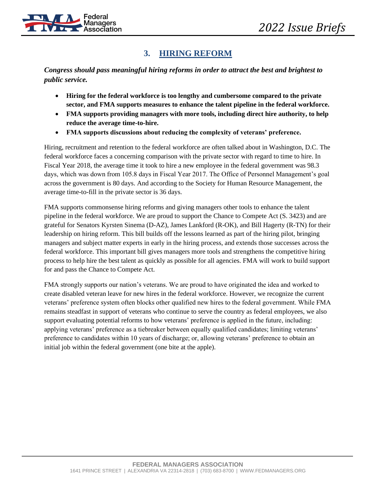

#### **3. HIRING REFORM**

*Congress should pass meaningful hiring reforms in order to attract the best and brightest to public service.*

- **Hiring for the federal workforce is too lengthy and cumbersome compared to the private sector, and FMA supports measures to enhance the talent pipeline in the federal workforce.**
- **FMA supports providing managers with more tools, including direct hire authority, to help reduce the average time-to-hire.**
- **FMA supports discussions about reducing the complexity of veterans' preference.**

Hiring, recruitment and retention to the federal workforce are often talked about in Washington, D.C. The federal workforce faces a concerning comparison with the private sector with regard to time to hire. In Fiscal Year 2018, the average time it took to hire a new employee in the federal government was 98.3 days, which was down from 105.8 days in Fiscal Year 2017. The Office of Personnel Management's goal across the government is 80 days. And according to the Society for Human Resource Management, the average time-to-fill in the private sector is 36 days.

FMA supports commonsense hiring reforms and giving managers other tools to enhance the talent pipeline in the federal workforce. We are proud to support the Chance to Compete Act (S. 3423) and are grateful for Senators Kyrsten Sinema (D-AZ), James Lankford (R-OK), and Bill Hagerty (R-TN) for their leadership on hiring reform. This bill builds off the lessons learned as part of the hiring pilot, bringing managers and subject matter experts in early in the hiring process, and extends those successes across the federal workforce. This important bill gives managers more tools and strengthens the competitive hiring process to help hire the best talent as quickly as possible for all agencies. FMA will work to build support for and pass the Chance to Compete Act.

FMA strongly supports our nation's veterans. We are proud to have originated the idea and worked to create disabled veteran leave for new hires in the federal workforce. However, we recognize the current veterans' preference system often blocks other qualified new hires to the federal government. While FMA remains steadfast in support of veterans who continue to serve the country as federal employees, we also support evaluating potential reforms to how veterans' preference is applied in the future, including: applying veterans' preference as a tiebreaker between equally qualified candidates; limiting veterans' preference to candidates within 10 years of discharge; or, allowing veterans' preference to obtain an initial job within the federal government (one bite at the apple).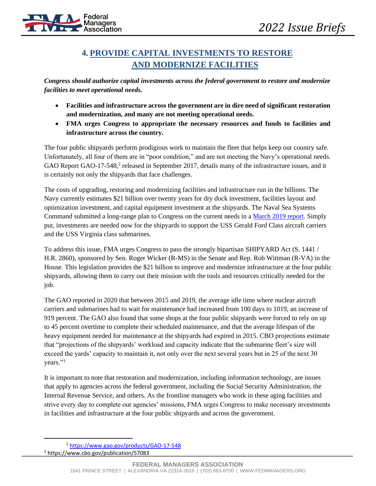

## **4. PROVIDE CAPITAL INVESTMENTS TO RESTORE AND MODERNIZE FACILITIES**

*Congress should authorize capital investments across the federal government to restore and modernize facilities to meet operational needs.*

- **Facilities and infrastructure across the government are in dire need of significant restoration and modernization, and many are not meeting operational needs.**
- **FMA urges Congress to appropriate the necessary resources and funds to facilities and infrastructure across the country.**

The four public shipyards perform prodigious work to maintain the fleet that helps keep our country safe. Unfortunately, all four of them are in "poor condition," and are not meeting the Navy's operational needs. GAO Report GAO-17-548,<sup>2</sup> released in September 2017, details many of the infrastructure issues, and it is certainly not only the shipyards that face challenges.

The costs of upgrading, restoring and modernizing facilities and infrastructure run in the billions. The Navy currently estimates \$21 billion over twenty years for dry dock investment, facilities layout and optimization investment, and capital equipment investment at the shipyards. The Naval Sea Systems Command submitted a long-range plan to Congress on the current needs in a [March 2019 report.](https://assets.documentcloud.org/documents/5777729/FY20-Long-Range-Maintenance-Modernization-Plan.pdf) Simply put, investments are needed now for the shipyards to support the USS Gerald Ford Class aircraft carriers and the USS Virginia class submarines.

To address this issue, FMA urges Congress to pass the strongly bipartisan SHIPYARD Act (S. 1441 / H.R. 2860), sponsored by Sen. Roger Wicker (R-MS) in the Senate and Rep. Rob Wittman (R-VA) in the House. This legislation provides the \$21 billion to improve and modernize infrastructure at the four public shipyards, allowing them to carry out their mission with the tools and resources critically needed for the job.

The GAO reported in 2020 that between 2015 and 2019, the average idle time where nuclear aircraft carriers and submarines had to wait for maintenance had increased from 100 days to 1019, an increase of 919 percent. The GAO also found that some shops at the four public shipyards were forced to rely on up to 45 percent overtime to complete their scheduled maintenance, and that the average lifespan of the heavy equipment needed for maintenance at the shipyards had expired in 2015. CBO projections estimate that "projections of the shipyards' workload and capacity indicate that the submarine fleet's size will exceed the yards' capacity to maintain it, not only over the next several years but in 25 of the next 30 years." 3

It is important to note that restoration and modernization, including information technology, are issues that apply to agencies across the federal government, including the Social Security Administration, the Internal Revenue Service, and others. As the frontline managers who work in these aging facilities and strive every day to complete our agencies' missions, FMA urges Congress to make necessary investments in facilities and infrastructure at the four public shipyards and across the government.

<sup>2</sup> <https://www.gao.gov/products/GAO-17-548> <sup>3</sup> https://www.cbo.gov/publication/57083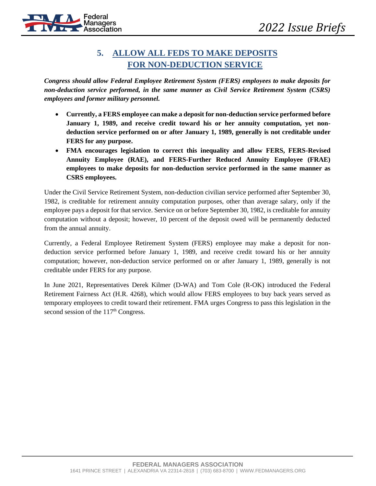

#### **5. ALLOW ALL FEDS TO MAKE DEPOSITS FOR NON-DEDUCTION SERVICE**

*Congress should allow Federal Employee Retirement System (FERS) employees to make deposits for non-deduction service performed, in the same manner as Civil Service Retirement System (CSRS) employees and former military personnel.*

- **Currently, a FERS employee can make a deposit for non-deduction service performed before January 1, 1989, and receive credit toward his or her annuity computation, yet nondeduction service performed on or after January 1, 1989, generally is not creditable under FERS for any purpose.**
- **FMA encourages legislation to correct this inequality and allow FERS, FERS-Revised Annuity Employee (RAE), and FERS-Further Reduced Annuity Employee (FRAE) employees to make deposits for non-deduction service performed in the same manner as CSRS employees.**

Under the Civil Service Retirement System, non-deduction civilian service performed after September 30, 1982, is creditable for retirement annuity computation purposes, other than average salary, only if the employee pays a deposit for that service. Service on or before September 30, 1982, is creditable for annuity computation without a deposit; however, 10 percent of the deposit owed will be permanently deducted from the annual annuity.

Currently, a Federal Employee Retirement System (FERS) employee may make a deposit for nondeduction service performed before January 1, 1989, and receive credit toward his or her annuity computation; however, non-deduction service performed on or after January 1, 1989, generally is not creditable under FERS for any purpose.

In June 2021, Representatives Derek Kilmer (D-WA) and Tom Cole (R-OK) introduced the Federal Retirement Fairness Act (H.R. 4268), which would allow FERS employees to buy back years served as temporary employees to credit toward their retirement. FMA urges Congress to pass this legislation in the second session of the  $117<sup>th</sup>$  Congress.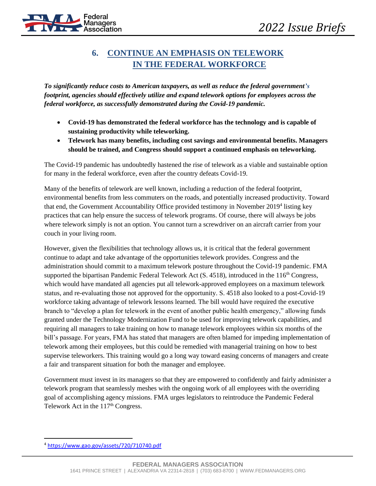

#### **6. CONTINUE AN EMPHASIS ON TELEWORK IN THE FEDERAL WORKFORCE**

*To significantly reduce costs to American taxpayers, as well as reduce the federal government's footprint, agencies should effectively utilize and expand telework options for employees across the federal workforce, as successfully demonstrated during the Covid-19 pandemic.*

- **Covid-19 has demonstrated the federal workforce has the technology and is capable of sustaining productivity while teleworking.**
- **Telework has many benefits, including cost savings and environmental benefits. Managers should be trained, and Congress should support a continued emphasis on teleworking.**

The Covid-19 pandemic has undoubtedly hastened the rise of telework as a viable and sustainable option for many in the federal workforce, even after the country defeats Covid-19.

Many of the benefits of telework are well known, including a reduction of the federal footprint, environmental benefits from less commuters on the roads, and potentially increased productivity. Toward that end, the Government Accountability Office provided testimony in November 2019<sup>4</sup> listing key practices that can help ensure the success of telework programs. Of course, there will always be jobs where telework simply is not an option. You cannot turn a screwdriver on an aircraft carrier from your couch in your living room.

However, given the flexibilities that technology allows us, it is critical that the federal government continue to adapt and take advantage of the opportunities telework provides. Congress and the administration should commit to a maximum telework posture throughout the Covid-19 pandemic. FMA supported the bipartisan Pandemic Federal Telework Act  $(S. 4518)$ , introduced in the  $116<sup>th</sup> Congress$ , which would have mandated all agencies put all telework-approved employees on a maximum telework status, and re-evaluating those not approved for the opportunity. S. 4518 also looked to a post-Covid-19 workforce taking advantage of telework lessons learned. The bill would have required the executive branch to "develop a plan for telework in the event of another public health emergency," allowing funds granted under the Technology Modernization Fund to be used for improving telework capabilities, and requiring all managers to take training on how to manage telework employees within six months of the bill's passage. For years, FMA has stated that managers are often blamed for impeding implementation of telework among their employees, but this could be remedied with managerial training on how to best supervise teleworkers. This training would go a long way toward easing concerns of managers and create a fair and transparent situation for both the manager and employee.

Government must invest in its managers so that they are empowered to confidently and fairly administer a telework program that seamlessly meshes with the ongoing work of all employees with the overriding goal of accomplishing agency missions. FMA urges legislators to reintroduce the Pandemic Federal Telework Act in the 117<sup>th</sup> Congress.

<sup>4</sup> <https://www.gao.gov/assets/720/710740.pdf>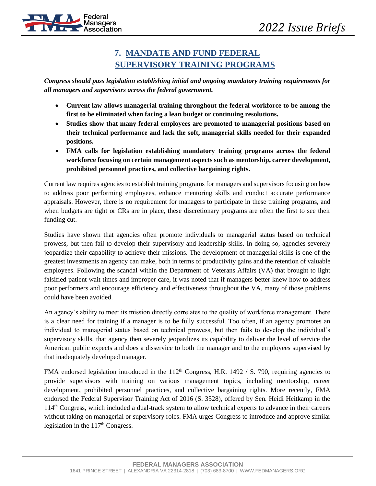#### **7. MANDATE AND FUND FEDERAL SUPERVISORY TRAINING PROGRAMS**

*Congress should pass legislation establishing initial and ongoing mandatory training requirements for all managers and supervisors across the federal government.* 

- **Current law allows managerial training throughout the federal workforce to be among the first to be eliminated when facing a lean budget or continuing resolutions.**
- **Studies show that many federal employees are promoted to managerial positions based on their technical performance and lack the soft, managerial skills needed for their expanded positions.**
- **FMA calls for legislation establishing mandatory training programs across the federal workforce focusing on certain management aspects such as mentorship, career development, prohibited personnel practices, and collective bargaining rights.**

Current law requires agencies to establish training programs for managers and supervisors focusing on how to address poor performing employees, enhance mentoring skills and conduct accurate performance appraisals. However, there is no requirement for managers to participate in these training programs, and when budgets are tight or CRs are in place, these discretionary programs are often the first to see their funding cut.

Studies have shown that agencies often promote individuals to managerial status based on technical prowess, but then fail to develop their supervisory and leadership skills. In doing so, agencies severely jeopardize their capability to achieve their missions. The development of managerial skills is one of the greatest investments an agency can make, both in terms of productivity gains and the retention of valuable employees. Following the scandal within the Department of Veterans Affairs (VA) that brought to light falsified patient wait times and improper care, it was noted that if managers better knew how to address poor performers and encourage efficiency and effectiveness throughout the VA, many of those problems could have been avoided.

An agency's ability to meet its mission directly correlates to the quality of workforce management. There is a clear need for training if a manager is to be fully successful. Too often, if an agency promotes an individual to managerial status based on technical prowess, but then fails to develop the individual's supervisory skills, that agency then severely jeopardizes its capability to deliver the level of service the American public expects and does a disservice to both the manager and to the employees supervised by that inadequately developed manager.

FMA endorsed legislation introduced in the 112<sup>th</sup> Congress, H.R. 1492 / S. 790, requiring agencies to provide supervisors with training on various management topics, including mentorship, career development, prohibited personnel practices, and collective bargaining rights. More recently, FMA endorsed the Federal Supervisor Training Act of 2016 (S. 3528), offered by Sen. Heidi Heitkamp in the 114th Congress, which included a dual-track system to allow technical experts to advance in their careers without taking on managerial or supervisory roles. FMA urges Congress to introduce and approve similar legislation in the 117<sup>th</sup> Congress.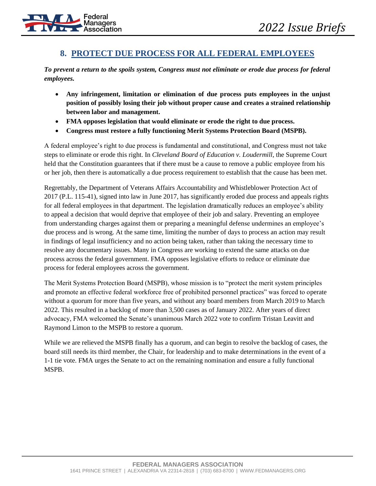

#### **8. PROTECT DUE PROCESS FOR ALL FEDERAL EMPLOYEES**

*To prevent a return to the spoils system, Congress must not eliminate or erode due process for federal employees.*

- **Any infringement, limitation or elimination of due process puts employees in the unjust position of possibly losing their job without proper cause and creates a strained relationship between labor and management.**
- **FMA opposes legislation that would eliminate or erode the right to due process.**
- **Congress must restore a fully functioning Merit Systems Protection Board (MSPB).**

A federal employee's right to due process is fundamental and constitutional, and Congress must not take steps to eliminate or erode this right. In *Cleveland Board of Education v. Loudermill*, the Supreme Court held that the Constitution guarantees that if there must be a cause to remove a public employee from his or her job, then there is automatically a due process requirement to establish that the cause has been met.

Regrettably, the Department of Veterans Affairs Accountability and Whistleblower Protection Act of 2017 (P.L. 115-41), signed into law in June 2017, has significantly eroded due process and appeals rights for all federal employees in that department. The legislation dramatically reduces an employee's ability to appeal a decision that would deprive that employee of their job and salary. Preventing an employee from understanding charges against them or preparing a meaningful defense undermines an employee's due process and is wrong. At the same time, limiting the number of days to process an action may result in findings of legal insufficiency and no action being taken, rather than taking the necessary time to resolve any documentary issues. Many in Congress are working to extend the same attacks on due process across the federal government. FMA opposes legislative efforts to reduce or eliminate due process for federal employees across the government.

The Merit Systems Protection Board (MSPB), whose mission is to "protect the merit system principles and promote an effective federal workforce free of prohibited personnel practices" was forced to operate without a quorum for more than five years, and without any board members from March 2019 to March 2022. This resulted in a backlog of more than 3,500 cases as of January 2022. After years of direct advocacy, FMA welcomed the Senate's unanimous March 2022 vote to confirm Tristan Leavitt and Raymond Limon to the MSPB to restore a quorum.

While we are relieved the MSPB finally has a quorum, and can begin to resolve the backlog of cases, the board still needs its third member, the Chair, for leadership and to make determinations in the event of a 1-1 tie vote. FMA urges the Senate to act on the remaining nomination and ensure a fully functional MSPB.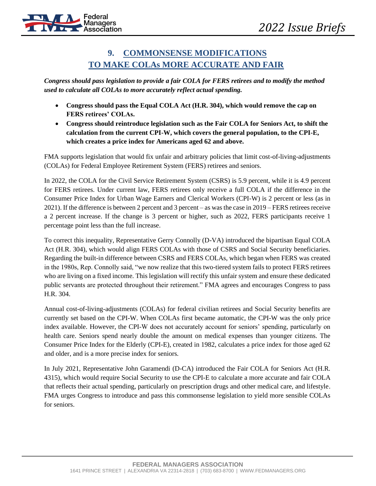

#### **9. COMMONSENSE MODIFICATIONS TO MAKE COLAs MORE ACCURATE AND FAIR**

*Congress should pass legislation to provide a fair COLA for FERS retirees and to modify the method used to calculate all COLAs to more accurately reflect actual spending.*

- **Congress should pass the Equal COLA Act (H.R. 304), which would remove the cap on FERS retirees' COLAs.**
- **Congress should reintroduce legislation such as the Fair COLA for Seniors Act, to shift the calculation from the current CPI-W, which covers the general population, to the CPI-E, which creates a price index for Americans aged 62 and above.**

FMA supports legislation that would fix unfair and arbitrary policies that limit cost-of-living-adjustments (COLAs) for Federal Employee Retirement System (FERS) retirees and seniors.

In 2022, the COLA for the Civil Service Retirement System (CSRS) is 5.9 percent, while it is 4.9 percent for FERS retirees. Under current law, FERS retirees only receive a full COLA if the difference in the Consumer Price Index for Urban Wage Earners and Clerical Workers (CPI-W) is 2 percent or less (as in 2021). If the difference is between 2 percent and 3 percent – as was the case in 2019 – FERS retirees receive a 2 percent increase. If the change is 3 percent or higher, such as 2022, FERS participants receive 1 percentage point less than the full increase.

To correct this inequality, Representative Gerry Connolly (D-VA) introduced the bipartisan Equal COLA Act (H.R. 304), which would align FERS COLAs with those of CSRS and Social Security beneficiaries. Regarding the built-in difference between CSRS and FERS COLAs, which began when FERS was created in the 1980s, Rep. Connolly said, "we now realize that this two-tiered system fails to protect FERS retirees who are living on a fixed income. This legislation will rectify this unfair system and ensure these dedicated public servants are protected throughout their retirement." FMA agrees and encourages Congress to pass H.R. 304.

Annual cost-of-living-adjustments (COLAs) for federal civilian retirees and Social Security benefits are currently set based on the CPI-W. When COLAs first became automatic, the CPI-W was the only price index available. However, the CPI-W does not accurately account for seniors' spending, particularly on health care. Seniors spend nearly double the amount on medical expenses than younger citizens. The Consumer Price Index for the Elderly (CPI-E), created in 1982, calculates a price index for those aged 62 and older, and is a more precise index for seniors.

In July 2021, Representative John Garamendi (D-CA) introduced the Fair COLA for Seniors Act (H.R. 4315), which would require Social Security to use the CPI-E to calculate a more accurate and fair COLA that reflects their actual spending, particularly on prescription drugs and other medical care, and lifestyle. FMA urges Congress to introduce and pass this commonsense legislation to yield more sensible COLAs for seniors.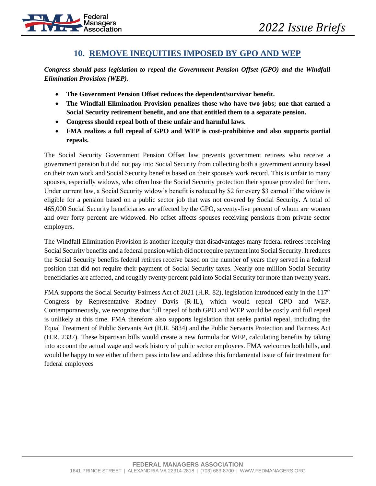

#### **10. REMOVE INEQUITIES IMPOSED BY GPO AND WEP**

*Congress should pass legislation to repeal the Government Pension Offset (GPO) and the Windfall Elimination Provision (WEP).*

- **The Government Pension Offset reduces the dependent/survivor benefit.**
- **The Windfall Elimination Provision penalizes those who have two jobs; one that earned a Social Security retirement benefit, and one that entitled them to a separate pension.**
- **Congress should repeal both of these unfair and harmful laws.**
- **FMA realizes a full repeal of GPO and WEP is cost-prohibitive and also supports partial repeals.**

The Social Security Government Pension Offset law prevents government retirees who receive a government pension but did not pay into Social Security from collecting both a government annuity based on their own work and Social Security benefits based on their spouse's work record. This is unfair to many spouses, especially widows, who often lose the Social Security protection their spouse provided for them. Under current law, a Social Security widow's benefit is reduced by \$2 for every \$3 earned if the widow is eligible for a pension based on a public sector job that was not covered by Social Security. A total of 465,000 Social Security beneficiaries are affected by the GPO, seventy-five percent of whom are women and over forty percent are widowed. No offset affects spouses receiving pensions from private sector employers.

The Windfall Elimination Provision is another inequity that disadvantages many federal retirees receiving Social Security benefits and a federal pension which did not require payment into Social Security. It reduces the Social Security benefits federal retirees receive based on the number of years they served in a federal position that did not require their payment of Social Security taxes. Nearly one million Social Security beneficiaries are affected, and roughly twenty percent paid into Social Security for more than twenty years.

FMA supports the Social Security Fairness Act of 2021 (H.R. 82), legislation introduced early in the  $117<sup>th</sup>$ Congress by Representative Rodney Davis (R-IL), which would repeal GPO and WEP. Contemporaneously, we recognize that full repeal of both GPO and WEP would be costly and full repeal is unlikely at this time. FMA therefore also supports legislation that seeks partial repeal, including the Equal Treatment of Public Servants Act (H.R. 5834) and the Public Servants Protection and Fairness Act (H.R. 2337). These bipartisan bills would create a new formula for WEP, calculating benefits by taking into account the actual wage and work history of public sector employees. FMA welcomes both bills, and would be happy to see either of them pass into law and address this fundamental issue of fair treatment for federal employees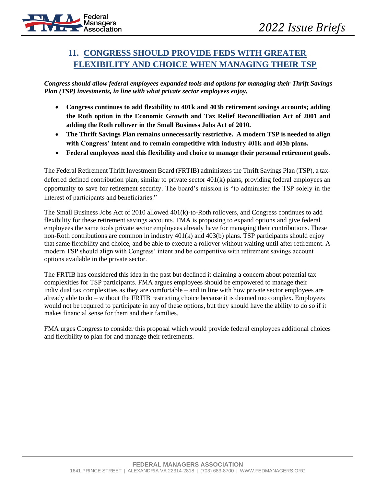

## **11. CONGRESS SHOULD PROVIDE FEDS WITH GREATER FLEXIBILITY AND CHOICE WHEN MANAGING THEIR TSP**

*Congress should allow federal employees expanded tools and options for managing their Thrift Savings Plan (TSP) investments, in line with what private sector employees enjoy.*

- **Congress continues to add flexibility to 401k and 403b retirement savings accounts; adding the Roth option in the Economic Growth and Tax Relief Reconcilliation Act of 2001 and adding the Roth rollover in the Small Business Jobs Act of 2010.**
- **The Thrift Savings Plan remains unnecessarily restrictive. A modern TSP is needed to align with Congress' intent and to remain competitive with industry 401k and 403b plans.**
- **Federal employees need this flexibility and choice to manage their personal retirement goals.**

The Federal Retirement Thrift Investment Board (FRTIB) administers the Thrift Savings Plan (TSP), a taxdeferred defined contribution plan, similar to private sector 401(k) plans, providing federal employees an opportunity to save for retirement security. The board's mission is "to administer the TSP solely in the interest of participants and beneficiaries."

The Small Business Jobs Act of 2010 allowed 401(k)-to-Roth rollovers, and Congress continues to add flexibility for these retirement savings accounts. FMA is proposing to expand options and give federal employees the same tools private sector employees already have for managing their contributions. These non-Roth contributions are common in industry 401(k) and 403(b) plans. TSP participants should enjoy that same flexibility and choice, and be able to execute a rollover without waiting until after retirement. A modern TSP should align with Congress' intent and be competitive with retirement savings account options available in the private sector.

The FRTIB has considered this idea in the past but declined it claiming a concern about potential tax complexities for TSP participants. FMA argues employees should be empowered to manage their individual tax complexities as they are comfortable – and in line with how private sector employees are already able to do – without the FRTIB restricting choice because it is deemed too complex. Employees would not be required to participate in any of these options, but they should have the ability to do so if it makes financial sense for them and their families.

FMA urges Congress to consider this proposal which would provide federal employees additional choices and flexibility to plan for and manage their retirements.